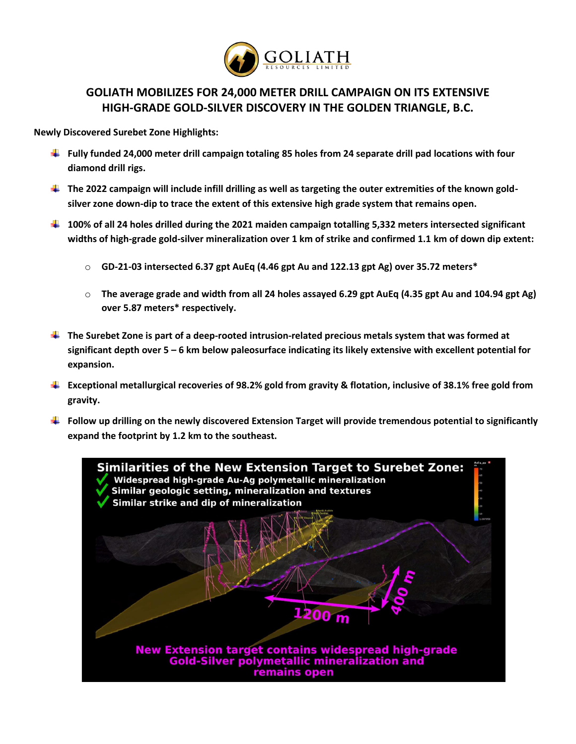

# **GOLIATH MOBILIZES FOR 24,000 METER DRILL CAMPAIGN ON ITS EXTENSIVE HIGH-GRADE GOLD-SILVER DISCOVERY IN THE GOLDEN TRIANGLE, B.C.**

**Newly Discovered Surebet Zone Highlights:**

- **Fully funded 24,000 meter drill campaign totaling 85 holes from 24 separate drill pad locations with four diamond drill rigs.**
- **The 2022 campaign will include infill drilling as well as targeting the outer extremities of the known goldsilver zone down-dip to trace the extent of this extensive high grade system that remains open.**
- **100% of all 24 holes drilled during the 2021 maiden campaign totalling 5,332 meters intersected significant widths of high-grade gold-silver mineralization over 1 km of strike and confirmed 1.1 km of down dip extent:**
	- o **GD-21-03 intersected 6.37 gpt AuEq (4.46 gpt Au and 122.13 gpt Ag) over 35.72 meters\***
	- o **The average grade and width from all 24 holes assayed 6.29 gpt AuEq (4.35 gpt Au and 104.94 gpt Ag) over 5.87 meters\* respectively.**
- **The Surebet Zone is part of a deep-rooted intrusion-related precious metals system that was formed at significant depth over 5 – 6 km below paleosurface indicating its likely extensive with excellent potential for expansion.**
- **Exceptional metallurgical recoveries of 98.2% gold from gravity & flotation, inclusive of 38.1% free gold from gravity.**
- **Follow up drilling on the newly discovered Extension Target will provide tremendous potential to significantly expand the footprint by 1.2 km to the southeast.**

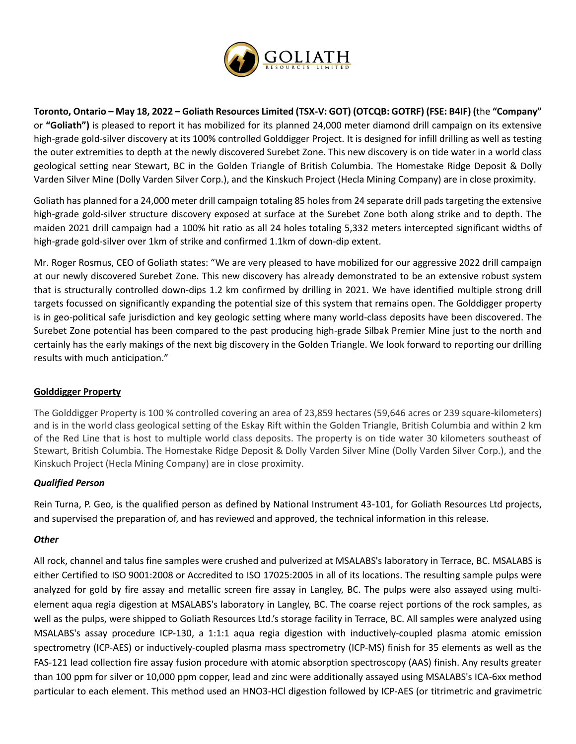

**Toronto, Ontario – May 18, 2022 – Goliath Resources Limited (TSX-V: GOT) (OTCQB: GOTRF) (FSE: B4IF) (**the **"Company"**  or **"Goliath")** is pleased to report it has mobilized for its planned 24,000 meter diamond drill campaign on its extensive high-grade gold-silver discovery at its 100% controlled Golddigger Project. It is designed for infill drilling as well as testing the outer extremities to depth at the newly discovered Surebet Zone. This new discovery is on tide water in a world class geological setting near Stewart, BC in the Golden Triangle of British Columbia. The Homestake Ridge Deposit & Dolly Varden Silver Mine (Dolly Varden Silver Corp.), and the Kinskuch Project (Hecla Mining Company) are in close proximity.

Goliath has planned for a 24,000 meter drill campaign totaling 85 holes from 24 separate drill pads targeting the extensive high-grade gold-silver structure discovery exposed at surface at the Surebet Zone both along strike and to depth. The maiden 2021 drill campaign had a 100% hit ratio as all 24 holes totaling 5,332 meters intercepted significant widths of high-grade gold-silver over 1km of strike and confirmed 1.1km of down-dip extent.

Mr. Roger Rosmus, CEO of Goliath states: "We are very pleased to have mobilized for our aggressive 2022 drill campaign at our newly discovered Surebet Zone. This new discovery has already demonstrated to be an extensive robust system that is structurally controlled down-dips 1.2 km confirmed by drilling in 2021. We have identified multiple strong drill targets focussed on significantly expanding the potential size of this system that remains open. The Golddigger property is in geo-political safe jurisdiction and key geologic setting where many world-class deposits have been discovered. The Surebet Zone potential has been compared to the past producing high-grade Silbak Premier Mine just to the north and certainly has the early makings of the next big discovery in the Golden Triangle. We look forward to reporting our drilling results with much anticipation."

## **Golddigger Property**

The Golddigger Property is 100 % controlled covering an area of 23,859 hectares (59,646 acres or 239 square-kilometers) and is in the world class geological setting of the Eskay Rift within the Golden Triangle, British Columbia and within 2 km of the Red Line that is host to multiple world class deposits. The property is on tide water 30 kilometers southeast of Stewart, British Columbia. The Homestake Ridge Deposit & Dolly Varden Silver Mine (Dolly Varden Silver Corp.), and the Kinskuch Project (Hecla Mining Company) are in close proximity.

#### *Qualified Person*

Rein Turna, P. Geo, is the qualified person as defined by National Instrument 43-101, for Goliath Resources Ltd projects, and supervised the preparation of, and has reviewed and approved, the technical information in this release.

#### *Other*

All rock, channel and talus fine samples were crushed and pulverized at MSALABS's laboratory in Terrace, BC. MSALABS is either Certified to ISO 9001:2008 or Accredited to ISO 17025:2005 in all of its locations. The resulting sample pulps were analyzed for gold by fire assay and metallic screen fire assay in Langley, BC. The pulps were also assayed using multielement aqua regia digestion at MSALABS's laboratory in Langley, BC. The coarse reject portions of the rock samples, as well as the pulps, were shipped to Goliath Resources Ltd.'s storage facility in Terrace, BC. All samples were analyzed using MSALABS's assay procedure ICP-130, a 1:1:1 aqua regia digestion with inductively-coupled plasma atomic emission spectrometry (ICP-AES) or inductively-coupled plasma mass spectrometry (ICP-MS) finish for 35 elements as well as the FAS-121 lead collection fire assay fusion procedure with atomic absorption spectroscopy (AAS) finish. Any results greater than 100 ppm for silver or 10,000 ppm copper, lead and zinc were additionally assayed using MSALABS's ICA-6xx method particular to each element. This method used an HNO3-HCl digestion followed by ICP-AES (or titrimetric and gravimetric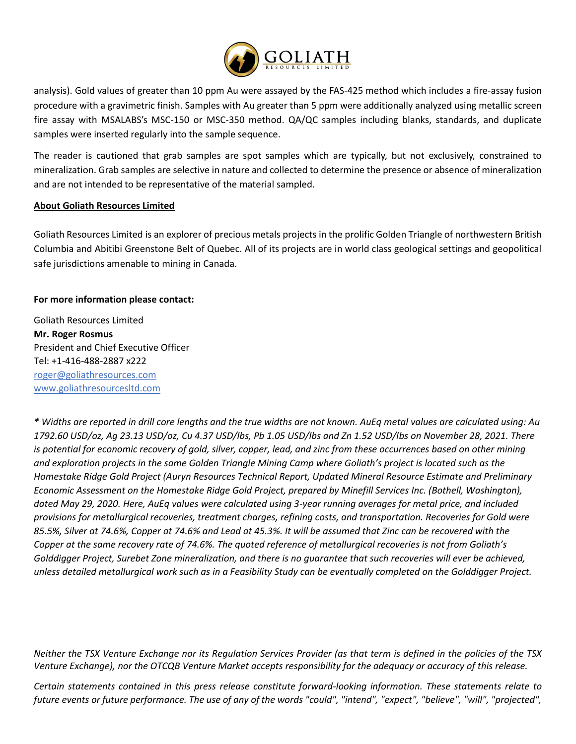

analysis). Gold values of greater than 10 ppm Au were assayed by the FAS-425 method which includes a fire-assay fusion procedure with a gravimetric finish. Samples with Au greater than 5 ppm were additionally analyzed using metallic screen fire assay with MSALABS's MSC-150 or MSC-350 method. QA/QC samples including blanks, standards, and duplicate samples were inserted regularly into the sample sequence.

The reader is cautioned that grab samples are spot samples which are typically, but not exclusively, constrained to mineralization. Grab samples are selective in nature and collected to determine the presence or absence of mineralization and are not intended to be representative of the material sampled.

#### **About Goliath Resources Limited**

Goliath Resources Limited is an explorer of precious metals projects in the prolific Golden Triangle of northwestern British Columbia and Abitibi Greenstone Belt of Quebec. All of its projects are in world class geological settings and geopolitical safe jurisdictions amenable to mining in Canada.

#### **For more information please contact:**

Goliath Resources Limited **Mr. Roger Rosmus**  President and Chief Executive Officer Tel: +1-416-488-2887 x222 [roger@goliathresources.com](mailto:roger@goliathresources.com) [www.goliathresourcesltd.com](http://www.goliathresourcesltd.com/)

*\* Widths are reported in drill core lengths and the true widths are not known. AuEq metal values are calculated using: Au 1792.60 USD/oz, Ag 23.13 USD/oz, Cu 4.37 USD/lbs, Pb 1.05 USD/lbs and Zn 1.52 USD/lbs on November 28, 2021. There is potential for economic recovery of gold, silver, copper, lead, and zinc from these occurrences based on other mining and exploration projects in the same Golden Triangle Mining Camp where Goliath's project is located such as the Homestake Ridge Gold Project (Auryn Resources Technical Report, Updated Mineral Resource Estimate and Preliminary Economic Assessment on the Homestake Ridge Gold Project, prepared by Minefill Services Inc. (Bothell, Washington), dated May 29, 2020. Here, AuEq values were calculated using 3-year running averages for metal price, and included provisions for metallurgical recoveries, treatment charges, refining costs, and transportation. Recoveries for Gold were 85.5%, Silver at 74.6%, Copper at 74.6% and Lead at 45.3%. It will be assumed that Zinc can be recovered with the Copper at the same recovery rate of 74.6%. The quoted reference of metallurgical recoveries is not from Goliath's Golddigger Project, Surebet Zone mineralization, and there is no guarantee that such recoveries will ever be achieved, unless detailed metallurgical work such as in a Feasibility Study can be eventually completed on the Golddigger Project.*

*Neither the TSX Venture Exchange nor its Regulation Services Provider (as that term is defined in the policies of the TSX Venture Exchange), nor the OTCQB Venture Market accepts responsibility for the adequacy or accuracy of this release.*

*Certain statements contained in this press release constitute forward-looking information. These statements relate to future events or future performance. The use of any of the words "could", "intend", "expect", "believe", "will", "projected",*